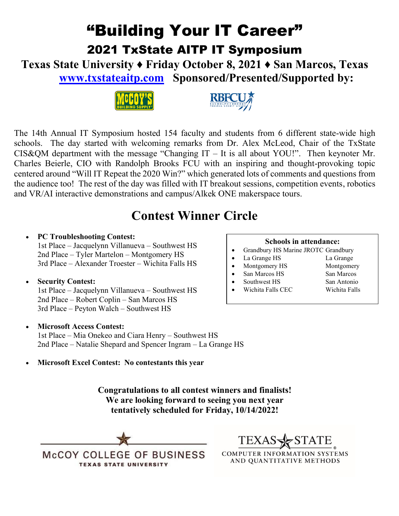## "Building Your IT Career" 2021 TxState AITP IT Symposium

**Texas State University ♦ Friday October 8, 2021 ♦ San Marcos, Texas [www.txstateaitp.com](http://www.txstateaitp.com/) Sponsored/Presented/Supported by:**





The 14th Annual IT Symposium hosted 154 faculty and students from 6 different state-wide high schools. The day started with welcoming remarks from Dr. Alex McLeod, Chair of the TxState CIS&QM department with the message "Changing IT – It is all about YOU!". Then keynoter Mr. Charles Beierle, CIO with Randolph Brooks FCU with an inspiring and thought-provoking topic centered around "Will IT Repeat the 2020 Win?" which generated lots of comments and questions from the audience too! The rest of the day was filled with IT breakout sessions, competition events, robotics and VR/AI interactive demonstrations and campus/Alkek ONE makerspace tours.

### **Contest Winner Circle**

### • **PC Troubleshooting Contest:**

1st Place – Jacquelynn Villanueva – Southwest HS 2nd Place – Tyler Martelon – Montgomery HS 3rd Place – Alexander Troester – Wichita Falls HS

#### • **Security Contest:**

1st Place – Jacquelynn Villanueva – Southwest HS 2nd Place – Robert Coplin – San Marcos HS 3rd Place – Peyton Walch – Southwest HS

#### • **Microsoft Access Contest:**

1st Place – Mia Onekeo and Ciara Henry – Southwest HS 2nd Place – Natalie Shepard and Spencer Ingram – La Grange HS

• **Microsoft Excel Contest: No contestants this year**

**Congratulations to all contest winners and finalists! We are looking forward to seeing you next year tentatively scheduled for Friday, 10/14/2022!**





**COMPUTER INFORMATION SYSTEMS** AND QUANTITATIVE METHODS

#### **Schools in attendance:**

- Grandbury HS Marine JROTC Grandbury
- La Grange HS La Grange
- Montgomery HS Montgomery
- **San Marcos HS** San Marcos
- - Southwest HS San Antonio
		-
	-
- 
- Wichita Falls CEC Wichita Falls